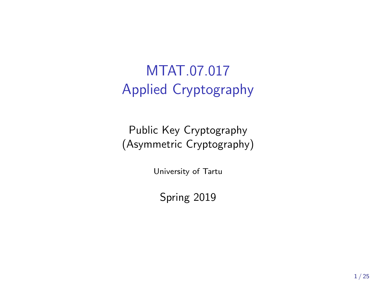## MTAT.07.017 Applied Cryptography

Public Key Cryptography (Asymmetric Cryptography)

University of Tartu

Spring 2019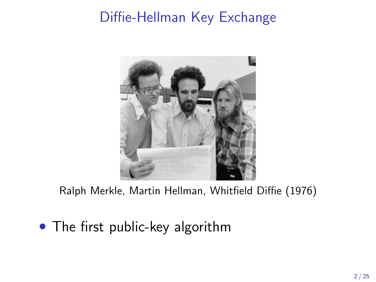### Diffie-Hellman Key Exchange



Ralph Merkle, Martin Hellman, Whitfield Diffie (1976)

• The first public-key algorithm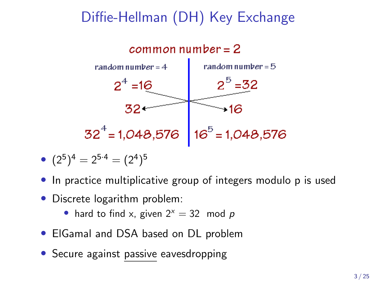## Diffie-Hellman (DH) Key Exchange



• 
$$
(2^5)^4 = 2^{5\cdot 4} = (2^4)^5
$$

- In practice multiplicative group of integers modulo p is used
- Discrete logarithm problem:

hard to find x, given  $2^{x} = 32$  mod p

- ElGamal and DSA based on DL problem
- Secure against passive eavesdropping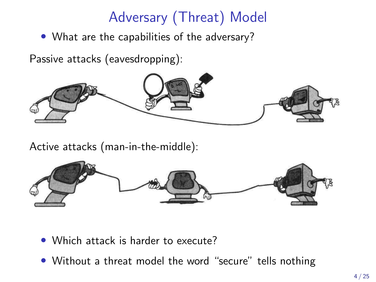# Adversary (Threat) Model

• What are the capabilities of the adversary?

Passive attacks (eavesdropping):



Active attacks (man-in-the-middle):



Which attack is harder to execute?

• Without a threat model the word "secure" tells nothing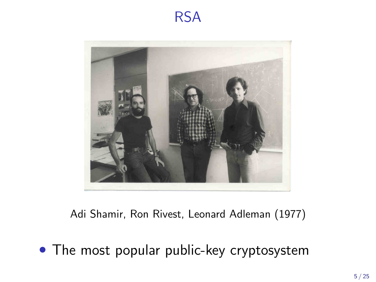#### RSA



Adi Shamir, Ron Rivest, Leonard Adleman (1977)

• The most popular public-key cryptosystem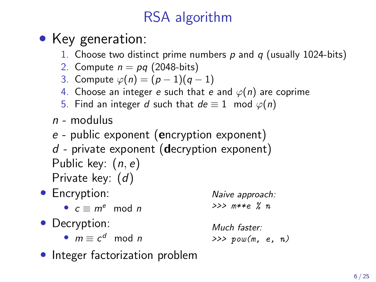# RSA algorithm

## • Key generation:

1. Choose two distinct prime numbers  $p$  and  $q$  (usually 1024-bits)

- 2. Compute  $n = pq$  (2048-bits)
- 3. Compute  $\varphi(n) = (p-1)(q-1)$
- 4. Choose an integer e such that e and  $\varphi(n)$  are coprime
- 5. Find an integer d such that  $de \equiv 1 \mod \varphi(n)$
- $n$  modulus
- e public exponent (encryption exponent)
- $d$  private exponent (decryption exponent) Public key:  $(n, e)$ Private key: (d)
- Encryption:
	- $c \equiv m^e \mod n$
- Decryption:
	- $m \equiv c^d \mod n$

Naive approach: >>> m\*\*e % n

- Much faster:  $\gg$   $pow(m, e, n)$
- Integer factorization problem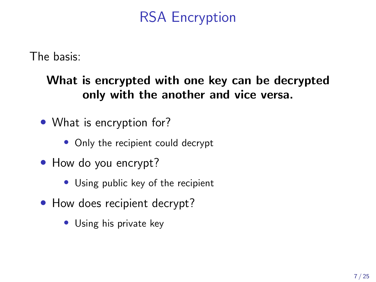## RSA Encryption

The basis:

What is encrypted with one key can be decrypted only with the another and vice versa.

- What is encryption for?
	- Only the recipient could decrypt
- How do you encrypt?
	- Using public key of the recipient
- How does recipient decrypt?
	- Using his private key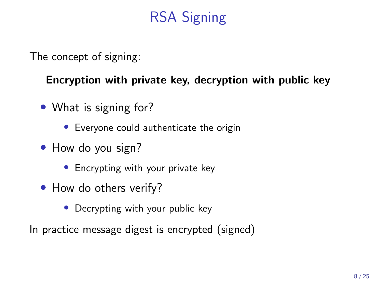## RSA Signing

The concept of signing:

Encryption with private key, decryption with public key

- What is signing for?
	- Everyone could authenticate the origin
- How do you sign?
	- Encrypting with your private key
- How do others verify?
	- Decrypting with your public key

In practice message digest is encrypted (signed)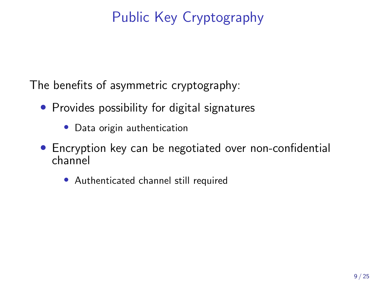# Public Key Cryptography

The benefits of asymmetric cryptography:

- Provides possibility for digital signatures
	- Data origin authentication
- Encryption key can be negotiated over non-confidential channel
	- Authenticated channel still required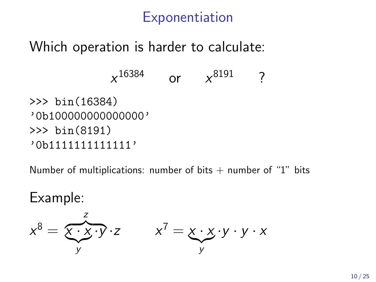### Exponentiation

### Which operation is harder to calculate:

 $x^{16384}$  $\alpha$ r  $x^{8191}$  ? >>> bin(16384) '0b100000000000000' >>> bin(8191)

'0b1111111111111'

Number of multiplications: number of bits  $+$  number of "1" bits

Example:

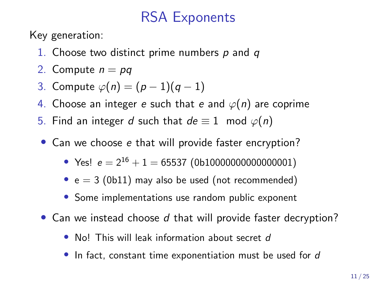### RSA Exponents

Key generation:

- 1. Choose two distinct prime numbers  $p$  and  $q$
- 2. Compute  $n = pq$
- 3. Compute  $\varphi(n) = (p-1)(q-1)$
- 4. Choose an integer e such that e and  $\varphi(n)$  are coprime
- 5. Find an integer d such that  $de \equiv 1 \mod \varphi(n)$
- Can we choose e that will provide faster encryption?
	- Yes!  $e = 2^{16} + 1 = 65537$  (0b100000000000000001)
	- $e = 3$  (0b11) may also be used (not recommended)
	- Some implementations use random public exponent
- Can we instead choose d that will provide faster decryption?
	- No! This will leak information about secret d
	- In fact, constant time exponentiation must be used for d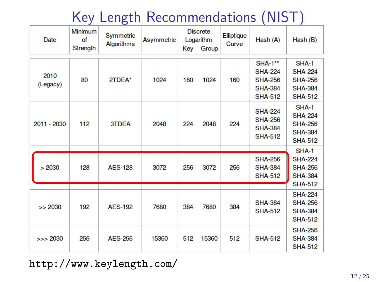## Key Length Recommendations (NIST)

| <b>Date</b>      | Minimum<br>of<br>Strength | Symmetric<br><b>Algorithms</b> | <b>Asymmetric</b> | Key | <b>Discrete</b><br>Logarithm<br>Group | Elliptique<br>Curve | Hash (A)                                                                               | Hash (B)                                                                                                                                                       |  |  |
|------------------|---------------------------|--------------------------------|-------------------|-----|---------------------------------------|---------------------|----------------------------------------------------------------------------------------|----------------------------------------------------------------------------------------------------------------------------------------------------------------|--|--|
| 2010<br>(Legacy) | 80                        | 2TDEA*                         | 1024              | 160 | 1024                                  | 160                 | <b>SHA-1**</b><br><b>SHA-224</b><br><b>SHA-256</b><br><b>SHA-384</b><br><b>SHA-512</b> | SHA-1<br><b>SHA-224</b><br><b>SHA-256</b><br><b>SHA-384</b><br><b>SHA-512</b><br>SHA-1<br><b>SHA-224</b><br><b>SHA-256</b><br><b>SHA-384</b><br><b>SHA-512</b> |  |  |
| 2011 - 2030      | 112                       | 3TDEA                          | 2048              | 224 | 2048                                  | 224                 | <b>SHA-224</b><br><b>SHA-256</b><br><b>SHA-384</b><br><b>SHA-512</b>                   |                                                                                                                                                                |  |  |
|                  |                           |                                |                   |     |                                       |                     |                                                                                        | SHA-1                                                                                                                                                          |  |  |
| >2030            | 128                       | <b>AES-128</b>                 | 3072              | 256 | 3072                                  | 256                 | <b>SHA-256</b><br><b>SHA-384</b><br><b>SHA-512</b>                                     | <b>SHA-224</b><br><b>SHA-256</b><br><b>SHA-384</b><br><b>SHA-512</b>                                                                                           |  |  |
|                  |                           |                                |                   |     |                                       |                     |                                                                                        |                                                                                                                                                                |  |  |
| >> 2030          | 192                       | <b>AES-192</b>                 | 7680              | 384 | 7680                                  | 384                 | <b>SHA-384</b><br><b>SHA-512</b>                                                       | <b>SHA-224</b><br><b>SHA-256</b><br><b>SHA-384</b><br><b>SHA-512</b>                                                                                           |  |  |
| 256<br>>> 2030   |                           | <b>AES-256</b>                 | 15360             | 512 | 15360                                 | 512                 | <b>SHA-512</b>                                                                         | <b>SHA-256</b><br><b>SHA-384</b><br><b>SHA-512</b>                                                                                                             |  |  |

<http://www.keylength.com/>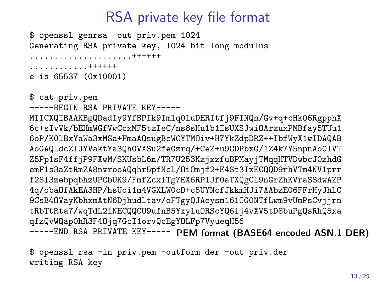### RSA private key file format

\$ openssl genrsa -out priv.pem 1024 Generating RSA private key, 1024 bit long modulus .....................++++++ ............++++++ e is 65537 (0x10001)

\$ cat priv.pem -----BEGIN RSA PRIVATE KEY----- MIICXQIBAAKBgQDadIy9YfBPIk9Imlq0luDERItfj9FINQn/Gv+q+cHk06RgpphX 6c+sIvVk/bEHmWGfVwCcxMF5tzIeC/ns8sHu1b1IsUXSJwiOArzuxPMBfay5TUu1 6oP/K0lBxYaWa3xMSa+FmaAQsugBcWCYTMOiv+H7YkZdpDRZ++IbfWyX1wIDAQAB AoGAQLdcZlJYVaktYa3Qh0VXSu2feGzrq/+CeZ+u9CDPbxG/1Z4k7Y5npnAo0IVT Z5Pp1sF4ffjP9FXwM/SKUsbL6n/TR7U253KzjxzfuBPMayjTMqqHTVDwbcJ0zhdG emF1s3aZtRmZA8nvrooAQqhr5pfNcL/OiOmjf2+E4St3IxECQQD9rhVTm4NV1prr f2813zebpqbhzUPCbUK9/FmfZcx1Tg7EX6RP1Jf0aTXQgCL9nGrZhKVraSSdwAZP 4q/obaOfAkEA3HP/hsUoi1m4VGXLW0cD+c5UYNcfJkkmHJi7AAbzE06FFrHyJhLC 9CsB4OVayKbhxmAtN6Djhudltav/oFTgyQJAeysm161OG0NTfLwm9vUmPsCvjjrn tRbTtRta7/wqTdL2iNECQQCU9ufnB5YxyluORScYQ6ij4vXV5tD8buPgQsRhQ5xa qfzQvWQap0hR3F4Ojq7GcI1orvQcEgYOLFp7VyueqH56 -----END RSA PRIVATE KEY----- PEM format (BASE64 encoded ASN.1 DER)

\$ openssl rsa -in priv.pem -outform der -out priv.der writing RSA key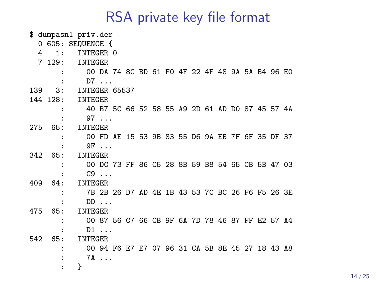## RSA private key file format

| \$ dumpasn1 priv.der |            |          |                |                      |  |  |                                                 |  |  |  |  |  |  |  |  |  |
|----------------------|------------|----------|----------------|----------------------|--|--|-------------------------------------------------|--|--|--|--|--|--|--|--|--|
|                      |            |          |                | $0 605: SEQUENCE \{$ |  |  |                                                 |  |  |  |  |  |  |  |  |  |
|                      | 4          | 1:       | INTEGER 0      |                      |  |  |                                                 |  |  |  |  |  |  |  |  |  |
|                      |            | 7129:    | <b>INTEGER</b> |                      |  |  |                                                 |  |  |  |  |  |  |  |  |  |
|                      |            |          |                |                      |  |  | 00 DA 74 8C BD 61 FO 4F 22 4F 48 9A 5A B4 96 EO |  |  |  |  |  |  |  |  |  |
|                      |            |          |                | $DT \ldots$          |  |  |                                                 |  |  |  |  |  |  |  |  |  |
| 139                  |            | 3:       | INTEGER 65537  |                      |  |  |                                                 |  |  |  |  |  |  |  |  |  |
|                      |            | 144 128: | INTEGER        |                      |  |  |                                                 |  |  |  |  |  |  |  |  |  |
|                      |            |          |                |                      |  |  | 40 B7 5C 66 52 58 55 A9 2D 61 AD D0 87 45 57 4A |  |  |  |  |  |  |  |  |  |
|                      |            |          |                | $97 \ldots$          |  |  |                                                 |  |  |  |  |  |  |  |  |  |
|                      | 65:<br>275 |          | <b>INTEGER</b> |                      |  |  |                                                 |  |  |  |  |  |  |  |  |  |
|                      |            |          |                |                      |  |  | 00 FD AE 15 53 9B 83 55 D6 9A EB 7F 6F 35 DF 37 |  |  |  |  |  |  |  |  |  |
|                      |            |          |                | $9F \ldots$          |  |  |                                                 |  |  |  |  |  |  |  |  |  |
| 342                  |            | 65:      | INTEGER        |                      |  |  |                                                 |  |  |  |  |  |  |  |  |  |
|                      |            |          |                |                      |  |  | 00 DC 73 FF 86 C5 28 8B 59 B8 54 65 CB 5B 47 03 |  |  |  |  |  |  |  |  |  |
|                      |            |          |                | $C9$                 |  |  |                                                 |  |  |  |  |  |  |  |  |  |
| 409                  |            | 64:      | <b>INTEGER</b> |                      |  |  |                                                 |  |  |  |  |  |  |  |  |  |
|                      |            |          |                |                      |  |  | 7B 2B 26 D7 AD 4E 1B 43 53 7C BC 26 F6 F5 26 3E |  |  |  |  |  |  |  |  |  |
|                      |            |          |                | $DD \ldots$          |  |  |                                                 |  |  |  |  |  |  |  |  |  |
| 475                  |            | 65:      | <b>INTEGER</b> |                      |  |  |                                                 |  |  |  |  |  |  |  |  |  |
|                      |            |          |                |                      |  |  | 00 87 56 C7 66 CB 9F 6A 7D 78 46 87 FF E2 57 A4 |  |  |  |  |  |  |  |  |  |
|                      |            |          |                | $D1 \ldots$          |  |  |                                                 |  |  |  |  |  |  |  |  |  |
| 542                  |            | 65:      | INTEGER        |                      |  |  |                                                 |  |  |  |  |  |  |  |  |  |
|                      |            |          |                |                      |  |  | 00 94 F6 E7 E7 07 96 31 CA 5B 8E 45 27 18 43 A8 |  |  |  |  |  |  |  |  |  |
|                      |            |          |                | 7A                   |  |  |                                                 |  |  |  |  |  |  |  |  |  |
|                      |            |          | }              |                      |  |  |                                                 |  |  |  |  |  |  |  |  |  |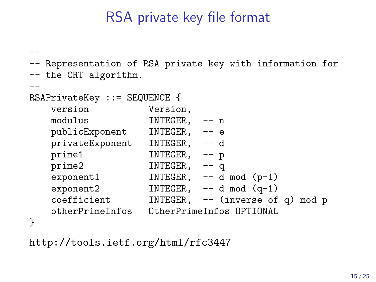### RSA private key file format

```
--
-- Representation of RSA private key with information for
-- the CRT algorithm.
-RSAPrivateKey ::= SEQUENCE {
   version Version,
   modulus INTEGER, -- n
   publicExponent INTEGER, -- e
   privateExponent INTEGER, -- d
   prime1 INTEGER, -- p
   prime2 INTEGER, -- q
   exponent1 INTEGER, -- d mod (p-1)
   exponent2 INTEGER, -- d mod (q-1)
   coefficient INTEGER, -- (inverse of q) mod p
   otherPrimeInfos OtherPrimeInfos OPTIONAL
}
```
<http://tools.ietf.org/html/rfc3447>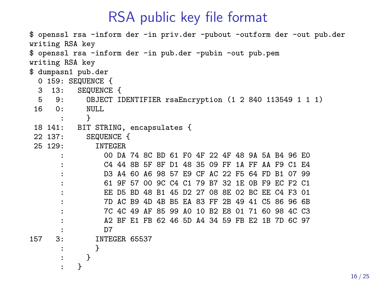### RSA public key file format

\$ openssl rsa -inform der -in priv.der -pubout -outform der -out pub.der writing RSA key \$ openssl rsa -inform der -in pub.der -pubin -out pub.pem writing RSA key \$ dumpasn1 pub.der 0 159: SEQUENCE { 3 13: SEQUENCE {<br>5 9: ORIECT II OBJECT IDENTIFIER rsaEncryption (1 2 840 113549 1 1 1)<br>NIII.  $16 \quad 0$ : } 18 141: BIT STRING, encapsulates {<br>22 137: SEQUENCE { 22 137: SEQUENCE<br>25 129: INTEGER  $25 \t129:$ : 00 DA 74 8C BD 61 F0 4F 22 4F 48 9A 5A B4 96 E0 : C4 44 8B 5F 8F D1 48 35 09 FF 1A FF AA F9 C1 E4 : D3 A4 60 A6 98 57 E9 CF AC 22 F5 64 FD B1 07 99 : 61 9F 57 00 9C C4 C1 79 B7 32 1E 0B F9 EC F2 C1 : EE D5 BD 48 B1 45 D2 27 08 8E 02 BC EE C4 F3 01 : 7D AC B9 4D 4B B5 EA 83 FF 2B 49 41 C5 86 96 6B : 7C 4C 49 AF 85 99 A0 10 B2 E8 01 71 60 98 4C C3 : A2 BF E1 FB 62 46 5D A4 34 59 FB E2 1B 7D 6C 97 : D7 157 3: INTEGER 65537 : }<br>: } : } : }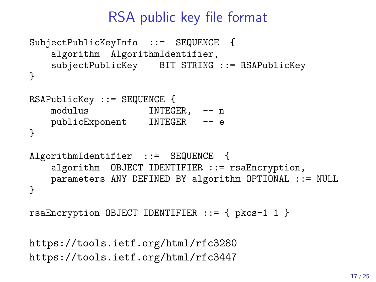### RSA public key file format

```
SubjectPublicKeyInfo ::= SEQUENCE {
   algorithm AlgorithmIdentifier,
   subjectPublicKey BIT STRING ::= RSAPublicKey
}
RSAPublicKey ::= SEQUENCE {
                     INTEGR, -- n
   publicExponent INTEGER -- e
}
AlgorithmIdentifier ::= SEQUENCE {
   algorithm OBJECT IDENTIFIER ::= rsaEncryption,
   parameters ANY DEFINED BY algorithm OPTIONAL ::= NULL
}
```

```
rsaEncryption OBJECT IDENTIFIER ::= { pkcs-1 1 }
```
<https://tools.ietf.org/html/rfc3280> <https://tools.ietf.org/html/rfc3447>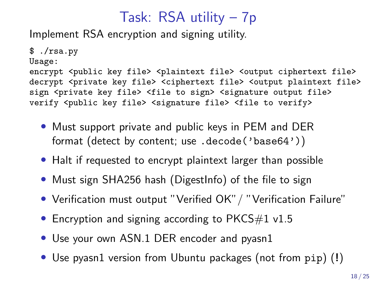### Task: RSA utility – 7p

Implement RSA encryption and signing utility.

\$ ./rsa.py Usage: encrypt <public key file> <plaintext file> <output ciphertext file> decrypt <private key file> <ciphertext file> <output plaintext file> sign <private key file> <file to sign> <signature output file> verify <public key file> <signature file> <file to verify>

- Must support private and public keys in PEM and DER format (detect by content; use .decode('base64'))
- Halt if requested to encrypt plaintext larger than possible
- Must sign SHA256 hash (DigestInfo) of the file to sign
- Verification must output "Verified OK"/ "Verification Failure"
- Encryption and signing according to  $PKCS#1$  v1.5
- Use your own ASN.1 DER encoder and pyasn1
- Use pyasn1 version from Ubuntu packages (not from pip) (!)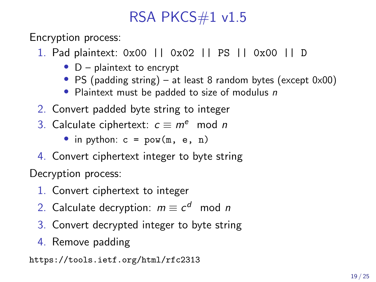## RSA PKCS#1 v1.5

Encryption process:

- 1. Pad plaintext: 0x00 || 0x02 || PS || 0x00 || D
	- $\bullet$  D plaintext to encrypt
	- PS (padding string) at least 8 random bytes (except 0x00)
	- Plaintext must be padded to size of modulus n
- 2. Convert padded byte string to integer
- 3. Calculate ciphertext:  $c \equiv m^e \mod n$

• in python:  $c = pow(m, e, n)$ 

4. Convert ciphertext integer to byte string

Decryption process:

- 1. Convert ciphertext to integer
- 2. Calculate decryption:  $m \equiv c^d \mod n$
- 3. Convert decrypted integer to byte string
- 4. Remove padding

<https://tools.ietf.org/html/rfc2313>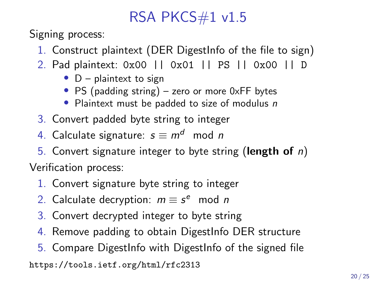## RSA PKCS#1 v1.5

Signing process:

- 1. Construct plaintext (DER DigestInfo of the file to sign)
- 2. Pad plaintext: 0x00 || 0x01 || PS || 0x00 || D
	- $\bullet$  D plaintext to sign
	- PS (padding string) zero or more 0xFF bytes
	- Plaintext must be padded to size of modulus n
- 3. Convert padded byte string to integer
- 4. Calculate signature:  $s \equiv m^d \mod n$

5. Convert signature integer to byte string (length of  $n$ ) Verification process:

- 1. Convert signature byte string to integer
- 2. Calculate decryption:  $m \equiv s^e \mod n$
- 3. Convert decrypted integer to byte string
- 4. Remove padding to obtain DigestInfo DER structure

5. Compare DigestInfo with DigestInfo of the signed file <https://tools.ietf.org/html/rfc2313>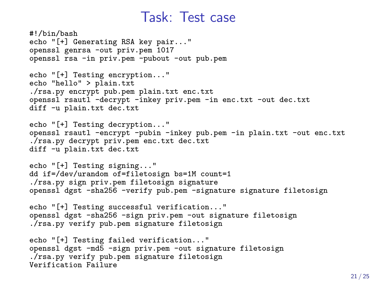#### Task: Test case

#!/bin/bash echo "[+] Generating RSA key pair..." openssl genrsa -out priv.pem 1017 openssl rsa -in priv.pem -pubout -out pub.pem echo "[+] Testing encryption..." echo "hello" > plain.txt ./rsa.py encrypt pub.pem plain.txt enc.txt openssl rsautl -decrypt -inkey priv.pem -in enc.txt -out dec.txt diff -u plain.txt dec.txt echo "[+] Testing decryption..." openssl rsautl -encrypt -pubin -inkey pub.pem -in plain.txt -out enc.txt ./rsa.py decrypt priv.pem enc.txt dec.txt diff -u plain.txt dec.txt echo "[+] Testing signing..." dd if=/dev/urandom of=filetosign bs=1M count=1 ./rsa.py sign priv.pem filetosign signature openssl dgst -sha256 -verify pub.pem -signature signature filetosign echo "[+] Testing successful verification..." openssl dgst -sha256 -sign priv.pem -out signature filetosign ./rsa.py verify pub.pem signature filetosign echo "[+] Testing failed verification..." openssl dgst -md5 -sign priv.pem -out signature filetosign ./rsa.py verify pub.pem signature filetosign Verification Failure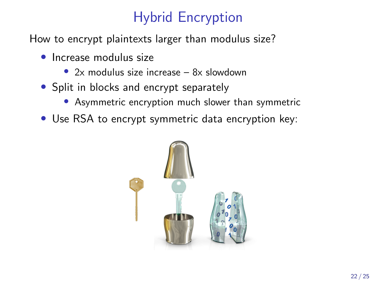## Hybrid Encryption

How to encrypt plaintexts larger than modulus size?

- Increase modulus size
	- $2x$  modulus size increase  $8x$  slowdown
- Split in blocks and encrypt separately
	- Asymmetric encryption much slower than symmetric
- Use RSA to encrypt symmetric data encryption key:

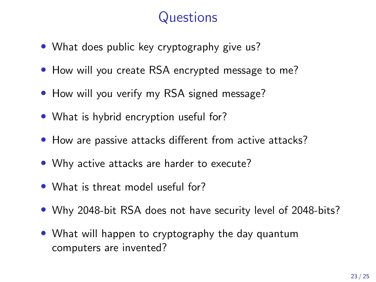### **Questions**

- What does public key cryptography give us?
- How will you create RSA encrypted message to me?
- How will you verify my RSA signed message?
- What is hybrid encryption useful for?
- How are passive attacks different from active attacks?
- Why active attacks are harder to execute?
- What is threat model useful for?
- Why 2048-bit RSA does not have security level of 2048-bits?
- What will happen to cryptography the day quantum computers are invented?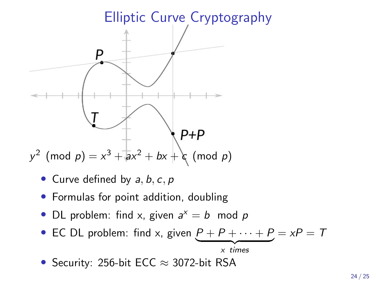

- Curve defined by  $a, b, c, p$
- Formulas for point addition, doubling
- DL problem: find x, given  $a^x = b$  mod p
- EC DL problem: find x, given  $P + P + \cdots + P = xP = T$  $\times$  times

```
• Security: 256-bit ECC \approx 3072-bit RSA
```